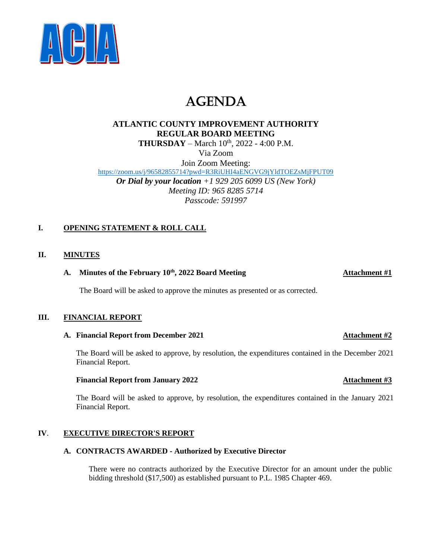

# AGENDA

# **ATLANTIC COUNTY IMPROVEMENT AUTHORITY REGULAR BOARD MEETING THURSDAY** – March  $10^{th}$ , 2022 - 4:00 P.M. Via Zoom

Join Zoom Meeting: <https://zoom.us/j/96582855714?pwd=R3RiUHI4aENGVG9jYldTOEZsMjFPUT09> *Or Dial by your location +1 929 205 6099 US (New York) Meeting ID: 965 8285 5714 Passcode: 591997*

## **I. OPENING STATEMENT & ROLL CALL**

### **II. MINUTES**

### **A. Minutes of the February 10 th, 2022 Board Meeting Attachment #1**

The Board will be asked to approve the minutes as presented or as corrected.

### **III. FINANCIAL REPORT**

#### **A. Financial Report from December 2021 Attachment #2**

The Board will be asked to approve, by resolution, the expenditures contained in the December 2021 Financial Report.

#### **Financial Report from January 2022 Attachment #3**

The Board will be asked to approve, by resolution, the expenditures contained in the January 2021 Financial Report.

### **IV**. **EXECUTIVE DIRECTOR'S REPORT**

#### **A. CONTRACTS AWARDED - Authorized by Executive Director**

There were no contracts authorized by the Executive Director for an amount under the public bidding threshold (\$17,500) as established pursuant to P.L. 1985 Chapter 469.